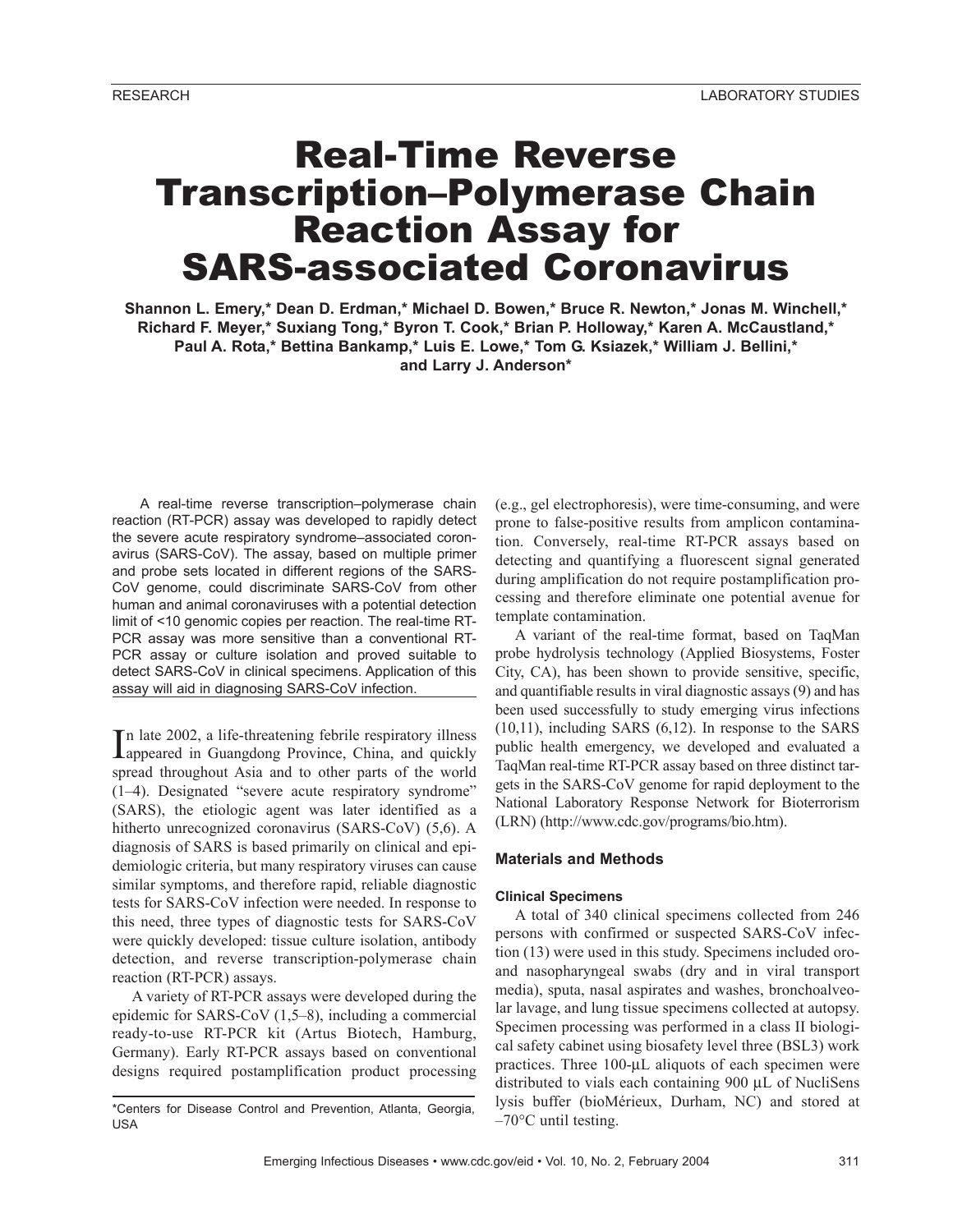# Real-Time Reverse Transcription–Polymerase Chain Reaction Assay for SARS-associated Coronavirus

**Shannon L. Emery,\* Dean D. Erdman,\* Michael D. Bowen,\* Bruce R. Newton,\* Jonas M. Winchell,\* Richard F. Meyer,\* Suxiang Tong,\* Byron T. Cook,\* Brian P. Holloway,\* Karen A. McCaustland,\* Paul A. Rota,\* Bettina Bankamp,\* Luis E. Lowe,\* Tom G. Ksiazek,\* William J. Bellini,\* and Larry J. Anderson\***

A real-time reverse transcription–polymerase chain reaction (RT-PCR) assay was developed to rapidly detect the severe acute respiratory syndrome–associated coronavirus (SARS-CoV). The assay, based on multiple primer and probe sets located in different regions of the SARS-CoV genome, could discriminate SARS-CoV from other human and animal coronaviruses with a potential detection limit of <10 genomic copies per reaction. The real-time RT-PCR assay was more sensitive than a conventional RT-PCR assay or culture isolation and proved suitable to detect SARS-CoV in clinical specimens. Application of this assay will aid in diagnosing SARS-CoV infection.

In late 2002, a life-threatening febrile respiratory illness<br>Appeared in Guangdong Province, China, and quickly appeared in Guangdong Province, China, and quickly spread throughout Asia and to other parts of the world (1–4). Designated "severe acute respiratory syndrome" (SARS), the etiologic agent was later identified as a hitherto unrecognized coronavirus (SARS-CoV) (5,6). A diagnosis of SARS is based primarily on clinical and epidemiologic criteria, but many respiratory viruses can cause similar symptoms, and therefore rapid, reliable diagnostic tests for SARS-CoV infection were needed. In response to this need, three types of diagnostic tests for SARS-CoV were quickly developed: tissue culture isolation, antibody detection, and reverse transcription-polymerase chain reaction (RT-PCR) assays.

A variety of RT-PCR assays were developed during the epidemic for SARS-CoV (1,5–8), including a commercial ready-to-use RT-PCR kit (Artus Biotech, Hamburg, Germany). Early RT-PCR assays based on conventional designs required postamplification product processing

(e.g., gel electrophoresis), were time-consuming, and were prone to false-positive results from amplicon contamination. Conversely, real-time RT-PCR assays based on detecting and quantifying a fluorescent signal generated during amplification do not require postamplification processing and therefore eliminate one potential avenue for template contamination.

A variant of the real-time format, based on TaqMan probe hydrolysis technology (Applied Biosystems, Foster City, CA), has been shown to provide sensitive, specific, and quantifiable results in viral diagnostic assays (9) and has been used successfully to study emerging virus infections (10,11), including SARS (6,12). In response to the SARS public health emergency, we developed and evaluated a TaqMan real-time RT-PCR assay based on three distinct targets in the SARS-CoV genome for rapid deployment to the National Laboratory Response Network for Bioterrorism (LRN) (http://www.cdc.gov/programs/bio.htm).

# **Materials and Methods**

# **Clinical Specimens**

A total of 340 clinical specimens collected from 246 persons with confirmed or suspected SARS-CoV infection (13) were used in this study. Specimens included oroand nasopharyngeal swabs (dry and in viral transport media), sputa, nasal aspirates and washes, bronchoalveolar lavage, and lung tissue specimens collected at autopsy. Specimen processing was performed in a class II biological safety cabinet using biosafety level three (BSL3) work practices. Three 100-µL aliquots of each specimen were distributed to vials each containing 900 µL of NucliSens lysis buffer (bioMérieux, Durham, NC) and stored at  $-70^{\circ}$ C until testing.

<sup>\*</sup>Centers for Disease Control and Prevention, Atlanta, Georgia, USA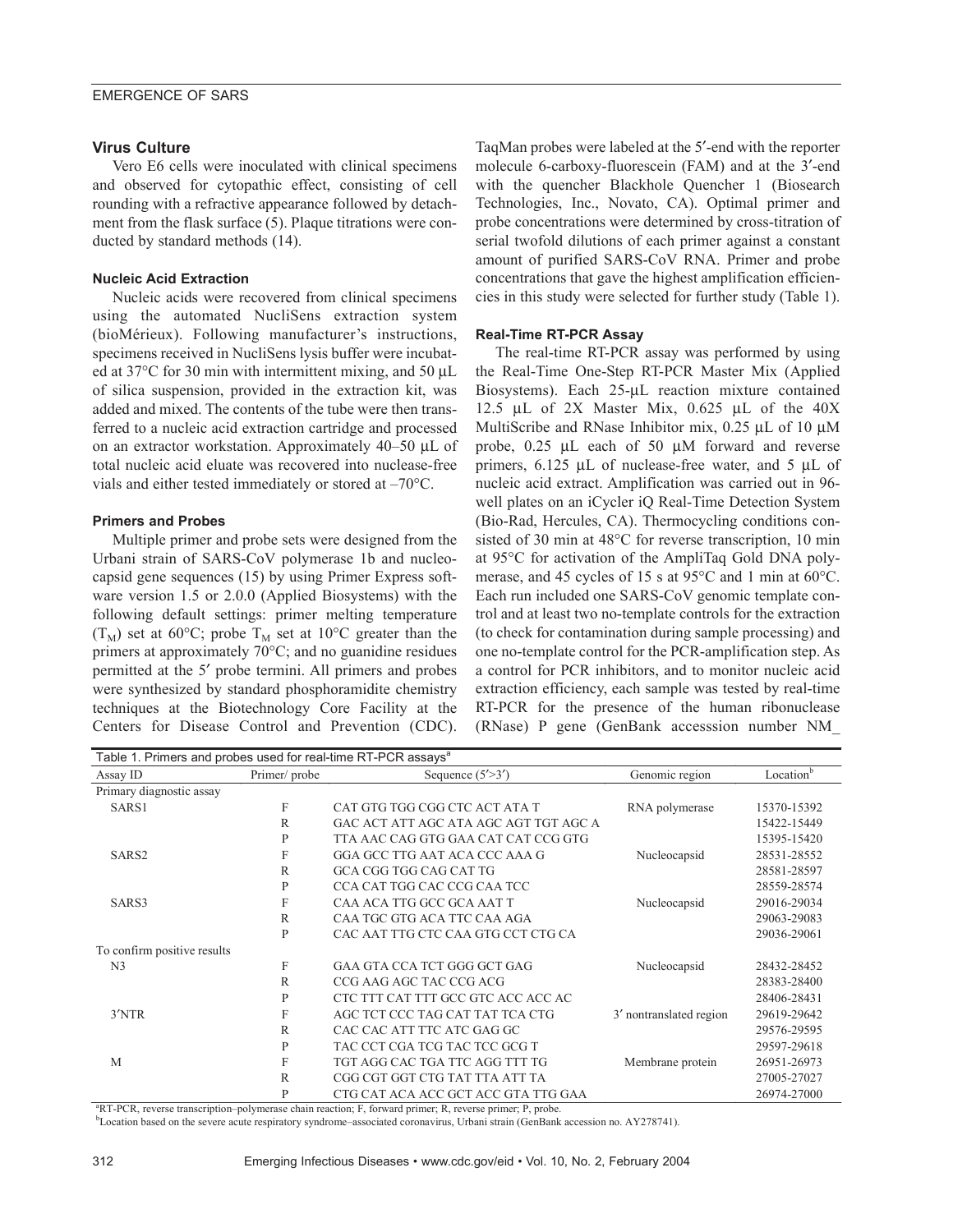### **Virus Culture**

Vero E6 cells were inoculated with clinical specimens and observed for cytopathic effect, consisting of cell rounding with a refractive appearance followed by detachment from the flask surface (5). Plaque titrations were conducted by standard methods (14).

#### **Nucleic Acid Extraction**

Nucleic acids were recovered from clinical specimens using the automated NucliSens extraction system (bioMérieux). Following manufacturer's instructions, specimens received in NucliSens lysis buffer were incubated at  $37^{\circ}$ C for 30 min with intermittent mixing, and 50  $\mu$ L of silica suspension, provided in the extraction kit, was added and mixed. The contents of the tube were then transferred to a nucleic acid extraction cartridge and processed on an extractor workstation. Approximately 40–50 µL of total nucleic acid eluate was recovered into nuclease-free vials and either tested immediately or stored at –70°C.

#### **Primers and Probes**

Multiple primer and probe sets were designed from the Urbani strain of SARS-CoV polymerase 1b and nucleocapsid gene sequences (15) by using Primer Express software version 1.5 or 2.0.0 (Applied Biosystems) with the following default settings: primer melting temperature  $(T_M)$  set at 60°C; probe  $T_M$  set at 10°C greater than the primers at approximately 70°C; and no guanidine residues permitted at the 5′ probe termini. All primers and probes were synthesized by standard phosphoramidite chemistry techniques at the Biotechnology Core Facility at the Centers for Disease Control and Prevention (CDC).

TaqMan probes were labeled at the 5′-end with the reporter molecule 6-carboxy-fluorescein (FAM) and at the 3′-end with the quencher Blackhole Quencher 1 (Biosearch Technologies, Inc., Novato, CA). Optimal primer and probe concentrations were determined by cross-titration of serial twofold dilutions of each primer against a constant amount of purified SARS-CoV RNA. Primer and probe concentrations that gave the highest amplification efficiencies in this study were selected for further study (Table 1).

#### **Real-Time RT-PCR Assay**

The real-time RT-PCR assay was performed by using the Real-Time One-Step RT-PCR Master Mix (Applied Biosystems). Each 25-µL reaction mixture contained 12.5 µL of 2X Master Mix, 0.625 µL of the 40X MultiScribe and RNase Inhibitor mix, 0.25 µL of 10 µM probe, 0.25 µL each of 50 µM forward and reverse primers, 6.125 µL of nuclease-free water, and 5 µL of nucleic acid extract. Amplification was carried out in 96 well plates on an iCycler iQ Real-Time Detection System (Bio-Rad, Hercules, CA). Thermocycling conditions consisted of 30 min at 48°C for reverse transcription, 10 min at 95°C for activation of the AmpliTaq Gold DNA polymerase, and 45 cycles of 15 s at 95°C and 1 min at 60°C. Each run included one SARS-CoV genomic template control and at least two no-template controls for the extraction (to check for contamination during sample processing) and one no-template control for the PCR-amplification step. As a control for PCR inhibitors, and to monitor nucleic acid extraction efficiency, each sample was tested by real-time RT-PCR for the presence of the human ribonuclease (RNase) P gene (GenBank accesssion number NM\_

| Table 1. Primers and probes used for real-time RT-PCR assays <sup>a</sup> |              |                                       |                         |                       |  |  |  |  |
|---------------------------------------------------------------------------|--------------|---------------------------------------|-------------------------|-----------------------|--|--|--|--|
| Assay ID                                                                  | Primer/probe | Sequence $(5'$ >3')                   | Genomic region          | Location <sup>b</sup> |  |  |  |  |
| Primary diagnostic assay                                                  |              |                                       |                         |                       |  |  |  |  |
| SARS1                                                                     | F            | CAT GTG TGG CGG CTC ACT ATA T         | RNA polymerase          | 15370-15392           |  |  |  |  |
|                                                                           | R            | GAC ACT ATT AGC ATA AGC AGT TGT AGC A |                         | 15422-15449           |  |  |  |  |
|                                                                           | P            | TTA AAC CAG GTG GAA CAT CAT CCG GTG   |                         | 15395-15420           |  |  |  |  |
| SARS <sub>2</sub>                                                         | F            | GGA GCC TTG AAT ACA CCC AAA G         | Nucleocapsid            | 28531-28552           |  |  |  |  |
|                                                                           | R            | GCA CGG TGG CAG CAT TG                |                         | 28581-28597           |  |  |  |  |
|                                                                           | P            | CCA CAT TGG CAC CCG CAA TCC           |                         | 28559-28574           |  |  |  |  |
| SARS3                                                                     | F            | CAA ACA TTG GCC GCA AAT T             | Nucleocapsid            | 29016-29034           |  |  |  |  |
|                                                                           | $\mathbb{R}$ | CAA TGC GTG ACA TTC CAA AGA           |                         | 29063-29083           |  |  |  |  |
|                                                                           | P            | CAC AAT TTG CTC CAA GTG CCT CTG CA    |                         | 29036-29061           |  |  |  |  |
| To confirm positive results                                               |              |                                       |                         |                       |  |  |  |  |
| N <sub>3</sub>                                                            | F            | GAA GTA CCA TCT GGG GCT GAG           | Nucleocapsid            | 28432-28452           |  |  |  |  |
|                                                                           | R            | CCG AAG AGC TAC CCG ACG               |                         | 28383-28400           |  |  |  |  |
|                                                                           | P            | CTC TTT CAT TTT GCC GTC ACC ACC AC    |                         | 28406-28431           |  |  |  |  |
| 3'NTR                                                                     | F            | AGC TCT CCC TAG CAT TAT TCA CTG       | 3' nontranslated region | 29619-29642           |  |  |  |  |
|                                                                           | $\mathbb{R}$ | CAC CAC ATT TTC ATC GAG GC            |                         | 29576-29595           |  |  |  |  |
|                                                                           | P            | TAC CCT CGA TCG TAC TCC GCG T         |                         | 29597-29618           |  |  |  |  |
| M                                                                         | F            | TGT AGG CAC TGA TTC AGG TTT TG        | Membrane protein        | 26951-26973           |  |  |  |  |
|                                                                           | R            | CGG CGT GGT CTG TAT TTA ATT TA        |                         | 27005-27027           |  |  |  |  |
|                                                                           | P            | CTG CAT ACA ACC GCT ACC GTA TTG GAA   |                         | 26974-27000           |  |  |  |  |

<sup>a</sup>RT-PCR, reverse transcription–polymerase chain reaction; F, forward primer; R, reverse primer; P, probe.

b Location based on the severe acute respiratory syndrome–associated coronavirus, Urbani strain (GenBank accession no. AY278741).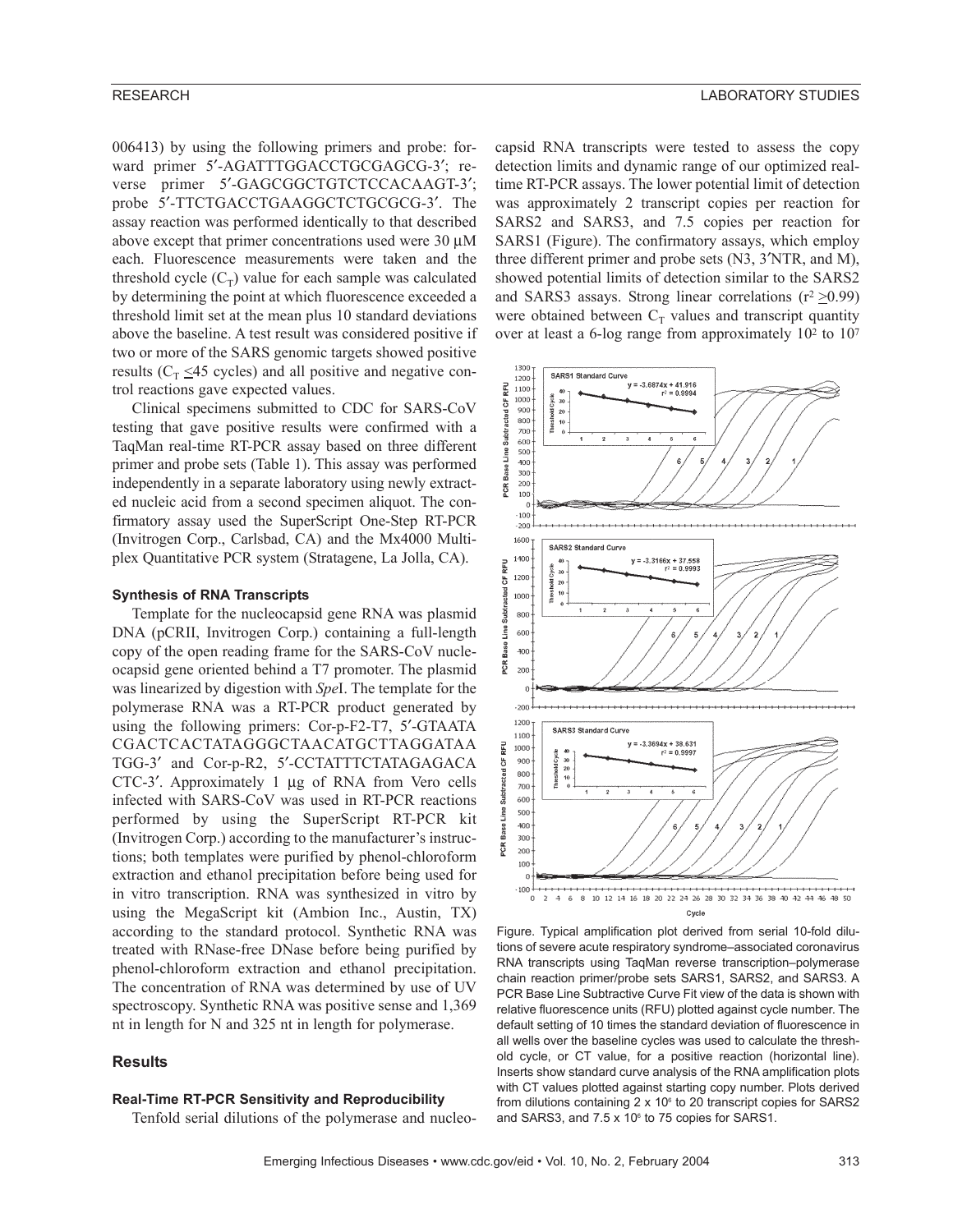006413) by using the following primers and probe: forward primer 5'-AGATTTGGACCTGCGAGCG-3'; reverse primer 5'-GAGCGGCTGTCTCCACAAGT-3'; probe 5′-TTCTGACCTGAAGGCTCTGCGCG-3′. The assay reaction was performed identically to that described above except that primer concentrations used were  $30 \mu M$ each. Fluorescence measurements were taken and the threshold cycle  $(C_T)$  value for each sample was calculated by determining the point at which fluorescence exceeded a threshold limit set at the mean plus 10 standard deviations above the baseline. A test result was considered positive if two or more of the SARS genomic targets showed positive results ( $C_T \leq 45$  cycles) and all positive and negative control reactions gave expected values.

Clinical specimens submitted to CDC for SARS-CoV testing that gave positive results were confirmed with a TaqMan real-time RT-PCR assay based on three different primer and probe sets (Table 1). This assay was performed independently in a separate laboratory using newly extracted nucleic acid from a second specimen aliquot. The confirmatory assay used the SuperScript One-Step RT-PCR (Invitrogen Corp., Carlsbad, CA) and the Mx4000 Multiplex Quantitative PCR system (Stratagene, La Jolla, CA).

#### **Synthesis of RNA Transcripts**

Template for the nucleocapsid gene RNA was plasmid DNA (pCRII, Invitrogen Corp.) containing a full-length copy of the open reading frame for the SARS-CoV nucleocapsid gene oriented behind a T7 promoter. The plasmid was linearized by digestion with *Spe*I. The template for the polymerase RNA was a RT-PCR product generated by using the following primers: Cor-p-F2-T7, 5′-GTAATA CGACTCACTATAGGGCTAACATGCTTAGGATAA TGG-3′ and Cor-p-R2, 5′-CCTATTTCTATAGAGACA CTC-3′. Approximately 1 µg of RNA from Vero cells infected with SARS-CoV was used in RT-PCR reactions performed by using the SuperScript RT-PCR kit (Invitrogen Corp.) according to the manufacturer's instructions; both templates were purified by phenol-chloroform extraction and ethanol precipitation before being used for in vitro transcription. RNA was synthesized in vitro by using the MegaScript kit (Ambion Inc., Austin, TX) according to the standard protocol. Synthetic RNA was treated with RNase-free DNase before being purified by phenol-chloroform extraction and ethanol precipitation. The concentration of RNA was determined by use of UV spectroscopy. Synthetic RNA was positive sense and 1,369 nt in length for N and 325 nt in length for polymerase.

# **Results**

#### **Real-Time RT-PCR Sensitivity and Reproducibility**

Tenfold serial dilutions of the polymerase and nucleo-

capsid RNA transcripts were tested to assess the copy detection limits and dynamic range of our optimized realtime RT-PCR assays. The lower potential limit of detection was approximately 2 transcript copies per reaction for SARS2 and SARS3, and 7.5 copies per reaction for SARS1 (Figure). The confirmatory assays, which employ three different primer and probe sets (N3, 3′NTR, and M), showed potential limits of detection similar to the SARS2 and SARS3 assays. Strong linear correlations ( $r^2 \ge 0.99$ ) were obtained between  $C_T$  values and transcript quantity over at least a 6-log range from approximately 102 to 107



Figure. Typical amplification plot derived from serial 10-fold dilutions of severe acute respiratory syndrome–associated coronavirus RNA transcripts using TaqMan reverse transcription–polymerase chain reaction primer/probe sets SARS1, SARS2, and SARS3. A PCR Base Line Subtractive Curve Fit view of the data is shown with relative fluorescence units (RFU) plotted against cycle number. The default setting of 10 times the standard deviation of fluorescence in all wells over the baseline cycles was used to calculate the threshold cycle, or CT value, for a positive reaction (horizontal line). Inserts show standard curve analysis of the RNA amplification plots with CT values plotted against starting copy number. Plots derived from dilutions containing  $2 \times 10^6$  to 20 transcript copies for SARS2 and SARS3, and  $7.5 \times 10^6$  to 75 copies for SARS1.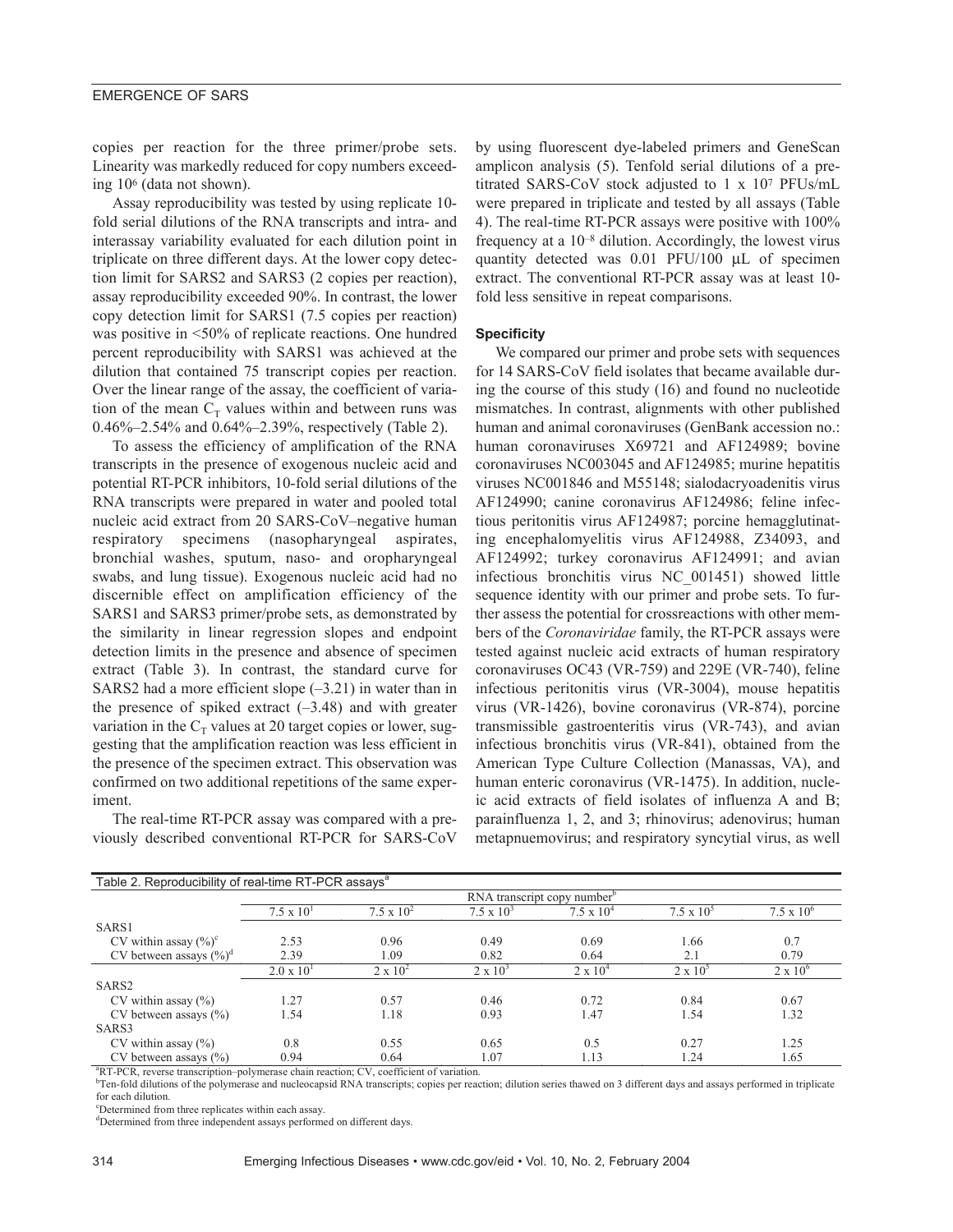#### EMERGENCE OF SARS

copies per reaction for the three primer/probe sets. Linearity was markedly reduced for copy numbers exceeding 106 (data not shown).

Assay reproducibility was tested by using replicate 10 fold serial dilutions of the RNA transcripts and intra- and interassay variability evaluated for each dilution point in triplicate on three different days. At the lower copy detection limit for SARS2 and SARS3 (2 copies per reaction), assay reproducibility exceeded 90%. In contrast, the lower copy detection limit for SARS1 (7.5 copies per reaction) was positive in <50% of replicate reactions. One hundred percent reproducibility with SARS1 was achieved at the dilution that contained 75 transcript copies per reaction. Over the linear range of the assay, the coefficient of variation of the mean  $C_T$  values within and between runs was 0.46%–2.54% and 0.64%–2.39%, respectively (Table 2).

To assess the efficiency of amplification of the RNA transcripts in the presence of exogenous nucleic acid and potential RT-PCR inhibitors, 10-fold serial dilutions of the RNA transcripts were prepared in water and pooled total nucleic acid extract from 20 SARS-CoV–negative human respiratory specimens (nasopharyngeal aspirates, bronchial washes, sputum, naso- and oropharyngeal swabs, and lung tissue). Exogenous nucleic acid had no discernible effect on amplification efficiency of the SARS1 and SARS3 primer/probe sets, as demonstrated by the similarity in linear regression slopes and endpoint detection limits in the presence and absence of specimen extract (Table 3). In contrast, the standard curve for SARS2 had a more efficient slope  $(-3.21)$  in water than in the presence of spiked extract  $(-3.48)$  and with greater variation in the  $C_T$  values at 20 target copies or lower, suggesting that the amplification reaction was less efficient in the presence of the specimen extract. This observation was confirmed on two additional repetitions of the same experiment.

The real-time RT-PCR assay was compared with a previously described conventional RT-PCR for SARS-CoV

by using fluorescent dye-labeled primers and GeneScan amplicon analysis (5). Tenfold serial dilutions of a pretitrated SARS-CoV stock adjusted to 1 x 107 PFUs/mL were prepared in triplicate and tested by all assays (Table 4). The real-time RT-PCR assays were positive with 100% frequency at a 10–8 dilution. Accordingly, the lowest virus quantity detected was 0.01 PFU/100 µL of specimen extract. The conventional RT-PCR assay was at least 10 fold less sensitive in repeat comparisons.

#### **Specificity**

We compared our primer and probe sets with sequences for 14 SARS-CoV field isolates that became available during the course of this study (16) and found no nucleotide mismatches. In contrast, alignments with other published human and animal coronaviruses (GenBank accession no.: human coronaviruses X69721 and AF124989; bovine coronaviruses NC003045 and AF124985; murine hepatitis viruses NC001846 and M55148; sialodacryoadenitis virus AF124990; canine coronavirus AF124986; feline infectious peritonitis virus AF124987; porcine hemagglutinating encephalomyelitis virus AF124988, Z34093, and AF124992; turkey coronavirus AF124991; and avian infectious bronchitis virus NC\_001451) showed little sequence identity with our primer and probe sets. To further assess the potential for crossreactions with other members of the *Coronaviridae* family, the RT-PCR assays were tested against nucleic acid extracts of human respiratory coronaviruses OC43 (VR-759) and 229E (VR-740), feline infectious peritonitis virus (VR-3004), mouse hepatitis virus (VR-1426), bovine coronavirus (VR-874), porcine transmissible gastroenteritis virus (VR-743), and avian infectious bronchitis virus (VR-841), obtained from the American Type Culture Collection (Manassas, VA), and human enteric coronavirus (VR-1475). In addition, nucleic acid extracts of field isolates of influenza A and B; parainfluenza 1, 2, and 3; rhinovirus; adenovirus; human metapnuemovirus; and respiratory syncytial virus, as well

| Table 2. Reproducibility of real-time RT-PCR assays <sup>a</sup> |                                         |                     |                   |                   |                   |                     |  |  |
|------------------------------------------------------------------|-----------------------------------------|---------------------|-------------------|-------------------|-------------------|---------------------|--|--|
|                                                                  | RNA transcript copy number <sup>b</sup> |                     |                   |                   |                   |                     |  |  |
|                                                                  | $7.5 \times 10^{1}$                     | $7.5 \times 10^{2}$ | $7.5 \times 10^3$ | $7.5 \times 10^4$ | $7.5 \times 10^5$ | $7.5 \times 10^{6}$ |  |  |
| SARS1                                                            |                                         |                     |                   |                   |                   |                     |  |  |
| CV within assay $(\%)^c$                                         | 2.53                                    | 0.96                | 0.49              | 0.69              | 1.66              | 0.7                 |  |  |
| CV between assays $(\%)^d$                                       | 2.39                                    | 1.09                | 0.82              | 0.64              | 2.1               | 0.79                |  |  |
|                                                                  | $2.0 \times 10^{1}$                     | $2 \times 10^2$     | $2 \times 10^3$   | $2 \times 10^4$   | $2 \times 10^5$   | $2 \times 10^6$     |  |  |
| SARS <sub>2</sub>                                                |                                         |                     |                   |                   |                   |                     |  |  |
| CV within assay $(\% )$                                          | 1.27                                    | 0.57                | 0.46              | 0.72              | 0.84              | 0.67                |  |  |
| CV between assays $(\% )$                                        | 1.54                                    | 1.18                | 0.93              | 1.47              | 1.54              | 1.32                |  |  |
| SARS3                                                            |                                         |                     |                   |                   |                   |                     |  |  |
| CV within assay $(\% )$                                          | 0.8                                     | 0.55                | 0.65              | 0.5               | 0.27              | 1.25                |  |  |
| CV between assays $(\% )$                                        | 0.94                                    | 0.64                | 1.07              | 1.13              | 1.24              | 1.65                |  |  |

<sup>a</sup>RT-PCR, reverse transcription-polymerase chain reaction; CV, coefficient of variation.

<sup>b</sup>Ten-fold dilutions of the polymerase and nucleocapsid RNA transcripts; copies per reaction; dilution series thawed on 3 different days and assays performed in triplicate for each dilution.

c Determined from three replicates within each assay.

<sup>d</sup>Determined from three independent assays performed on different days.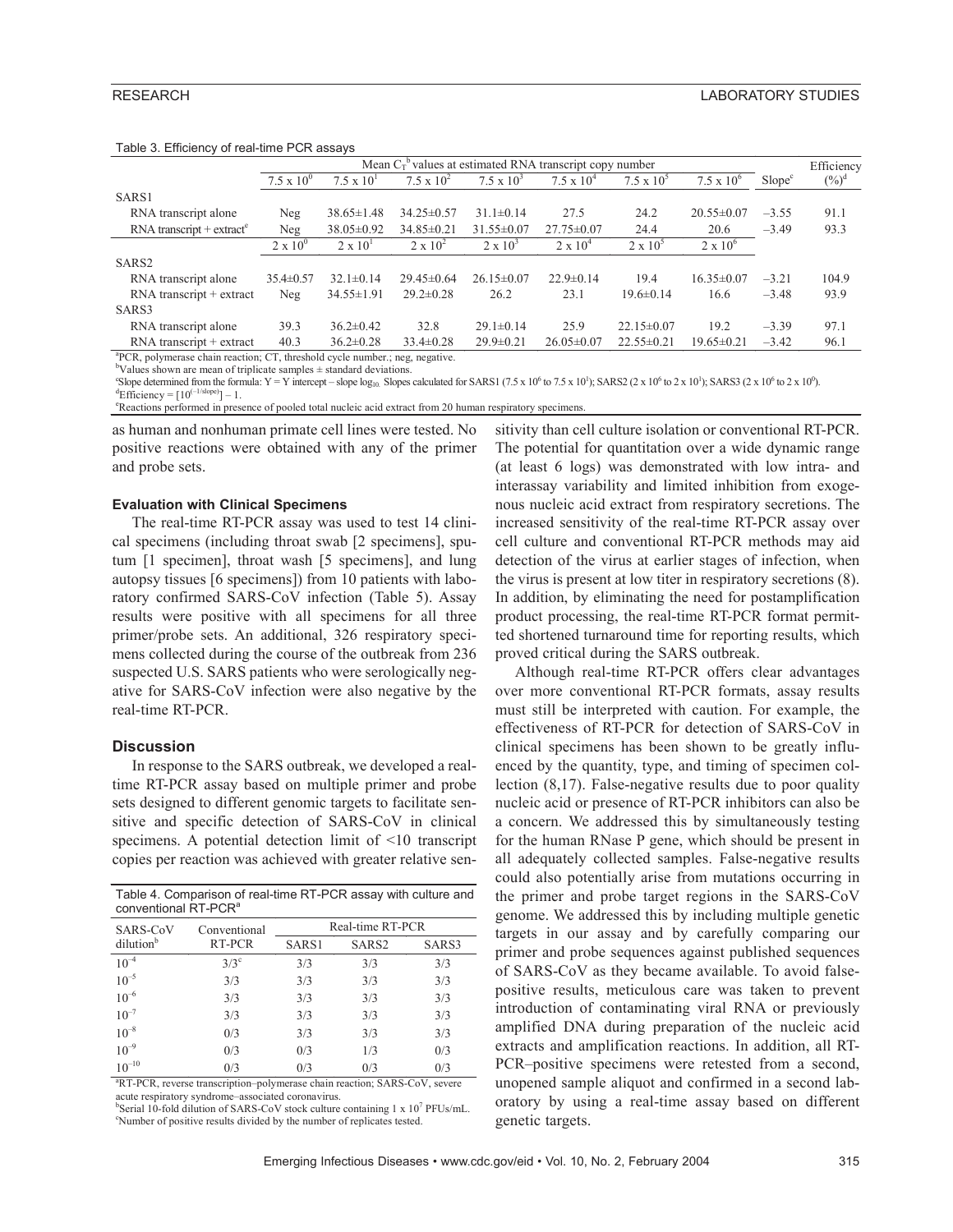|                                                                                          | Mean $C_T^b$ values at estimated RNA transcript copy number |                     |                     |                   |                   |                   |                   | Efficiency         |          |
|------------------------------------------------------------------------------------------|-------------------------------------------------------------|---------------------|---------------------|-------------------|-------------------|-------------------|-------------------|--------------------|----------|
|                                                                                          | $7.5 \times 10^{0}$                                         | $7.5 \times 10^{1}$ | $7.5 \times 10^{2}$ | $7.5 \times 10^3$ | $7.5 \times 10^4$ | $7.5 \times 10^5$ | $7.5 \times 10^6$ | Slope <sup>c</sup> | $(\%)^d$ |
| SARS1                                                                                    |                                                             |                     |                     |                   |                   |                   |                   |                    |          |
| RNA transcript alone                                                                     | Neg                                                         | $38.65 \pm 1.48$    | $34.25 \pm 0.57$    | $31.1\pm 0.14$    | 27.5              | 24.2              | $20.55 \pm 0.07$  | $-3.55$            | 91.1     |
| $RNA$ transcript + extract <sup>e</sup>                                                  | Neg                                                         | $38.05 \pm 0.92$    | $34.85 \pm 0.21$    | $31.55 \pm 0.07$  | $27.75 \pm 0.07$  | 24.4              | 20.6              | $-3.49$            | 93.3     |
|                                                                                          | $2 \times 10^{0}$                                           | $2 \times 10^{1}$   | $2 \times 10^2$     | $2 \times 10^3$   | $2 \times 10^4$   | $2 \times 10^5$   | $2 \times 10^6$   |                    |          |
| SARS <sub>2</sub>                                                                        |                                                             |                     |                     |                   |                   |                   |                   |                    |          |
| RNA transcript alone                                                                     | $35.4 \pm 0.57$                                             | $32.1 \pm 0.14$     | $29.45 \pm 0.64$    | $26.15 \pm 0.07$  | $22.9 \pm 0.14$   | 19.4              | $16.35 \pm 0.07$  | $-3.21$            | 104.9    |
| $RNA$ transcript + extract                                                               | Neg                                                         | $34.55 \pm 1.91$    | $29.2 \pm 0.28$     | 26.2              | 23.1              | $19.6 \pm 0.14$   | 16.6              | $-3.48$            | 93.9     |
| SARS3                                                                                    |                                                             |                     |                     |                   |                   |                   |                   |                    |          |
| RNA transcript alone                                                                     | 39.3                                                        | $36.2 \pm 0.42$     | 32.8                | $29.1 \pm 0.14$   | 25.9              | $22.15\pm0.07$    | 19.2              | $-3.39$            | 97.1     |
| $RNA$ transcript + extract                                                               | 40.3                                                        | $36.2 \pm 0.28$     | $33.4 \pm 0.28$     | $29.9 \pm 0.21$   | $26.05 \pm 0.07$  | $22.55 \pm 0.21$  | $19.65 \pm 0.21$  | $-3.42$            | 96.1     |
| <sup>a</sup> PCR, polymerase chain reaction; CT, threshold cycle number.; neg, negative. |                                                             |                     |                     |                   |                   |                   |                   |                    |          |

#### Table 3. Efficiency of real-time PCR assays

 $b$ Values shown are mean of triplicate samples  $\pm$  standard deviations.

Slope determined from the formula: Y = Y intercept – slope log<sub>10</sub>. Slopes calculated for SARS1 (7.5 x 10<sup>6</sup> to 7.5 x 10<sup>1</sup>); SARS2 (2 x 10<sup>6</sup> to 2 x 10<sup>1</sup>); SARS3 (2 x 10<sup>6</sup> to 2 x 10<sup>6</sup>).

<sup>d</sup>Efficiency = [10<sup>(-1/slope)</sup>] – 1.<br><sup>e</sup>Reactions performed in presence of pooled total nucleic acid extract from 20 human respiratory specimens.

as human and nonhuman primate cell lines were tested. No positive reactions were obtained with any of the primer and probe sets.

#### **Evaluation with Clinical Specimens**

The real-time RT-PCR assay was used to test 14 clinical specimens (including throat swab [2 specimens], sputum [1 specimen], throat wash [5 specimens], and lung autopsy tissues [6 specimens]) from 10 patients with laboratory confirmed SARS-CoV infection (Table 5). Assay results were positive with all specimens for all three primer/probe sets. An additional, 326 respiratory specimens collected during the course of the outbreak from 236 suspected U.S. SARS patients who were serologically negative for SARS-CoV infection were also negative by the real-time RT-PCR.

#### **Discussion**

In response to the SARS outbreak, we developed a realtime RT-PCR assay based on multiple primer and probe sets designed to different genomic targets to facilitate sensitive and specific detection of SARS-CoV in clinical specimens. A potential detection limit of <10 transcript copies per reaction was achieved with greater relative sen-

Table 4. Comparison of real-time RT-PCR assay with culture and conventional RT-PCR<sup>a</sup>

| SARS-CoV              | Conventional  | Real-time RT-PCR |                   |       |  |  |
|-----------------------|---------------|------------------|-------------------|-------|--|--|
| dilution <sup>b</sup> | RT-PCR        | SARS1            | SARS <sub>2</sub> | SARS3 |  |  |
| $10^{-4}$             | $3/3^{\circ}$ | 3/3              | 3/3               | 3/3   |  |  |
| $10^{-5}$             | 3/3           | 3/3              | 3/3               | 3/3   |  |  |
| $10^{-6}$             | 3/3           | 3/3              | 3/3               | 3/3   |  |  |
| $10^{-7}$             | 3/3           | 3/3              | 3/3               | 3/3   |  |  |
| $10^{-8}$             | 0/3           | 3/3              | 3/3               | 3/3   |  |  |
| $10^{-9}$             | 0/3           | 0/3              | 1/3               | 0/3   |  |  |
| $10^{-10}$            | 0/3           | 0/3              | 0/3               | 0/3   |  |  |

<sup>a</sup>RT-PCR, reverse transcription-polymerase chain reaction; SARS-CoV, severe acute respiratory syndrome–associated coronavirus.

<sup>b</sup>Serial 10-fold dilution of SARS-CoV stock culture containing 1 x 10<sup>7</sup> PFUs/mL. c Number of positive results divided by the number of replicates tested.

sitivity than cell culture isolation or conventional RT-PCR. The potential for quantitation over a wide dynamic range (at least 6 logs) was demonstrated with low intra- and interassay variability and limited inhibition from exogenous nucleic acid extract from respiratory secretions. The increased sensitivity of the real-time RT-PCR assay over cell culture and conventional RT-PCR methods may aid detection of the virus at earlier stages of infection, when the virus is present at low titer in respiratory secretions (8). In addition, by eliminating the need for postamplification product processing, the real-time RT-PCR format permitted shortened turnaround time for reporting results, which proved critical during the SARS outbreak.

Although real-time RT-PCR offers clear advantages over more conventional RT-PCR formats, assay results must still be interpreted with caution. For example, the effectiveness of RT-PCR for detection of SARS-CoV in clinical specimens has been shown to be greatly influenced by the quantity, type, and timing of specimen collection (8,17). False-negative results due to poor quality nucleic acid or presence of RT-PCR inhibitors can also be a concern. We addressed this by simultaneously testing for the human RNase P gene, which should be present in all adequately collected samples. False-negative results could also potentially arise from mutations occurring in the primer and probe target regions in the SARS-CoV genome. We addressed this by including multiple genetic targets in our assay and by carefully comparing our primer and probe sequences against published sequences of SARS-CoV as they became available. To avoid falsepositive results, meticulous care was taken to prevent introduction of contaminating viral RNA or previously amplified DNA during preparation of the nucleic acid extracts and amplification reactions. In addition, all RT-PCR–positive specimens were retested from a second, unopened sample aliquot and confirmed in a second laboratory by using a real-time assay based on different genetic targets.